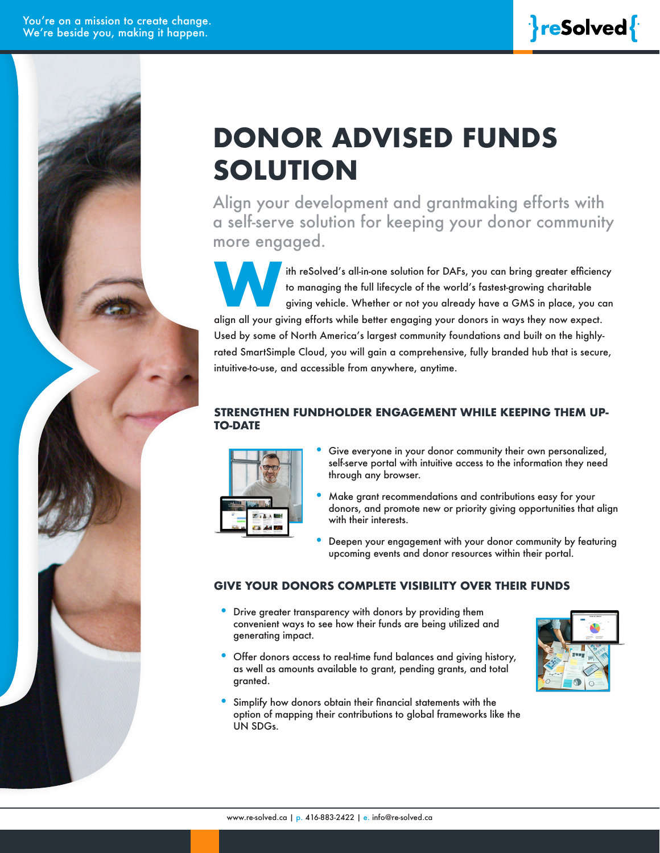# **DONOR ADVISED FUNDS SOLUTION**

Align your development and grantmaking efforts with a self-serve solution for keeping your donor community more engaged.

ith reSolved's all-in-one solution for DAFs, you can bring greater efficiency<br>to managing the full lifecycle of the world's fastest-growing charitable<br>giving vehicle. Whether or not you already have a GMS in place, you can to managing the full lifecycle of the world's fastest-growing charitable giving vehicle. Whether or not you already have a GMS in place, you can align all your giving efforts while better engaging your donors in ways they now expect. Used by some of North America's largest community foundations and built on the highlyrated SmartSimple Cloud, you will gain a comprehensive, fully branded hub that is secure, intuitive-to-use, and accessible from anywhere, anytime.

#### **STRENGTHEN FUNDHOLDER ENGAGEMENT WHILE KEEPING THEM UP-TO-DATE**



- Give everyone in your donor community their own personalized, self-serve portal with intuitive access to the information they need through any browser.
- Make grant recommendations and contributions easy for your donors, and promote new or priority giving opportunities that align with their interests.
- Deepen your engagement with your donor community by featuring upcoming events and donor resources within their portal.

#### **GIVE YOUR DONORS COMPLETE VISIBILITY OVER THEIR FUNDS**

- Drive greater transparency with donors by providing them convenient ways to see how their funds are being utilized and generating impact.
- Offer donors access to real-time fund balances and giving history, as well as amounts available to grant, pending grants, and total granted.
- Simplify how donors obtain their financial statements with the option of mapping their contributions to global frameworks like the UN SDGs.